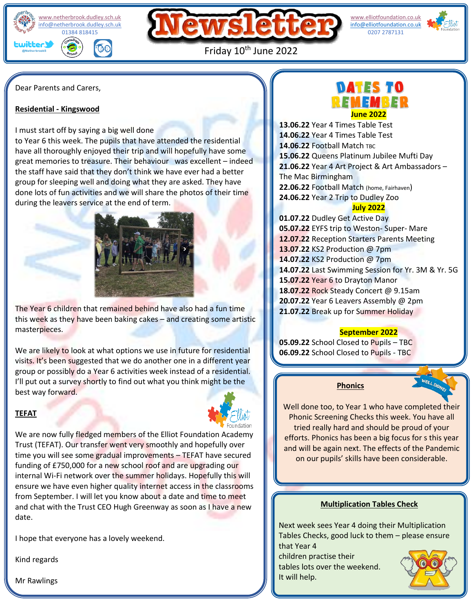[www.netherbrook.dudley.sch.uk](http://www.netherbrook.dudley.sch.uk/) [info@netherbrook.dudley.sch.uk](mailto:info@netherbrook.dudley.sch.uk) 01384 818415 witter ЮO



 [info@elliotfoundation.co.uk](mailto:info@elliotfoundation.co.uk) [www.elliotfoundation.co.uk](http://www.elliotfoundation.co.uk/) 0207 2787131



Friday 10<sup>th</sup> June 2022

Dear Parents and Carers,

#### **Residential - Kingswood**

I must start off by saying a big well done

to Year 6 this week. The pupils that have attended the residential have all thoroughly enjoyed their trip and will hopefully have some great memories to treasure. Their behaviour was excellent – indeed the staff have said that they don't think we have ever had a better group for sleeping well and doing what they are asked. They have done lots of fun activities and we will share the photos of their time during the leavers service at the end of term.



The Year 6 children that remained behind have also had a fun time this week as they have been baking cakes – and creating some artistic masterpieces.

We are likely to look at what options we use in future for residential visits. It's been suggested that we do another one in a different year group or possibly do a Year 6 activities week instead of a residential. I'll put out a survey shortly to find out what you think might be the best way forward.

## **TEFAT**



We are now fully fledged members of the Elliot Foundation Academy Trust (TEFAT). Our transfer went very smoothly and hopefully over time you will see some gradual improvements – TEFAT have secured funding of £750,000 for a new school roof and are upgrading our internal Wi-Fi network over the summer holidays. Hopefully this will ensure we have even higher quality internet access in the classrooms from September. I will let you know about a date and time to meet and chat with the Trust CEO Hugh Greenway as soon as I have a new date.

I hope that everyone has a lovely weekend.

Kind regards

Mr Rawlings

# **DATES TO** EM EMBER **June 2022**

**13.06.22** Year 4 Times Table Test **14.06.22** Year 4 Times Table Test **14.06.22 Football Match TBC 15.06.22** Queens Platinum Jubilee Mufti Day **21.06.22** Year 4 Art Project & Art Ambassadors – The Mac Birmingham **22.06.22** Football Match (home, Fairhaven) **24.06.22** Year 2 Trip to Dudley Zoo **July 2022**

**01.07.22** Dudley Get Active Day **05.07.22** EYFS trip to Weston- Super- Mare **12.07.22** Reception Starters Parents Meeting **13.07.22** KS2 Production @ 7pm **14.07.22** KS2 Production @ 7pm **14.07.22** Last Swimming Session for Yr. 3M & Yr. 5G **15.07.22** Year 6 to Drayton Manor **18.07.22** Rock Steady Concert @ 9.15am **20.07.22** Year 6 Leavers Assembly @ 2pm **21.07.22** Break up for Summer Holiday

## **September 2022**

**05.09.22** School Closed to Pupils – TBC **06.09.22** School Closed to Pupils - TBC

## **Phonics**

Well done too, to Year 1 who have completed their Phonic Screening Checks this week. You have all tried really hard and should be proud of your efforts. Phonics has been a big focus for s this year and will be again next. The effects of the Pandemic on our pupils' skills have been considerable.

## **Multiplication Tables Check**

Next week sees Year 4 doing their Multiplication Tables Checks, good luck to them – please ensure that Year 4

children practise their tables lots over the weekend. It will help.